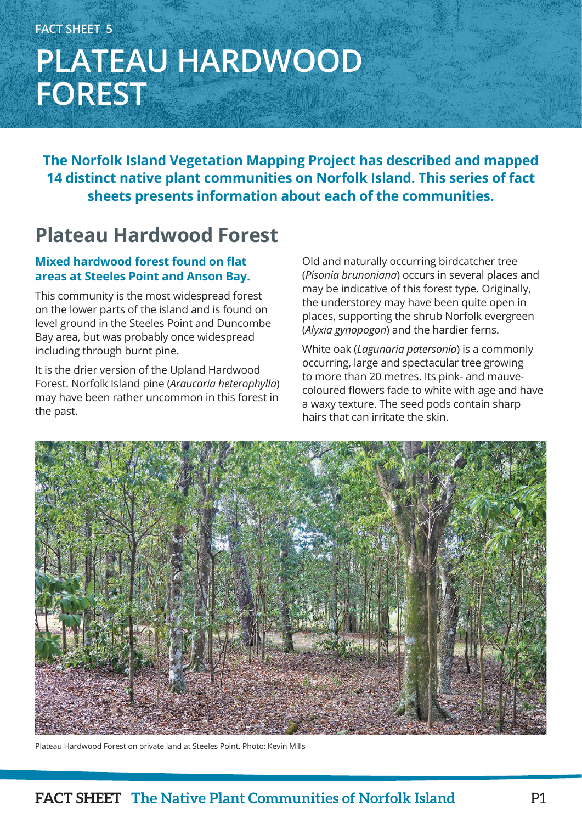# **FACT SHEET 5 PLATEAU HARDWOOD FOREST**

**The Norfolk Island Vegetation Mapping Project has described and mapped 14 distinct native plant communities on Norfolk Island. This series of fact sheets presents information about each of the communities.**

## **Plateau Hardwood Forest**

### **Mixed hardwood forest found on flat areas at Steeles Point and Anson Bay.**

This community is the most widespread forest on the lower parts of the island and is found on level ground in the Steeles Point and Duncombe Bay area, but was probably once widespread including through burnt pine.

It is the drier version of the Upland Hardwood Forest. Norfolk Island pine (*Araucaria heterophylla*) may have been rather uncommon in this forest in the past.

Old and naturally occurring birdcatcher tree (*Pisonia brunoniana*) occurs in several places and may be indicative of this forest type. Originally, the understorey may have been quite open in places, supporting the shrub Norfolk evergreen (*Alyxia gynopogon*) and the hardier ferns.

White oak (*Lagunaria patersonia*) is a commonly occurring, large and spectacular tree growing to more than 20 metres. Its pink- and mauvecoloured flowers fade to white with age and have a waxy texture. The seed pods contain sharp hairs that can irritate the skin.



Plateau Hardwood Forest on private land at Steeles Point. Photo: Kevin Mills